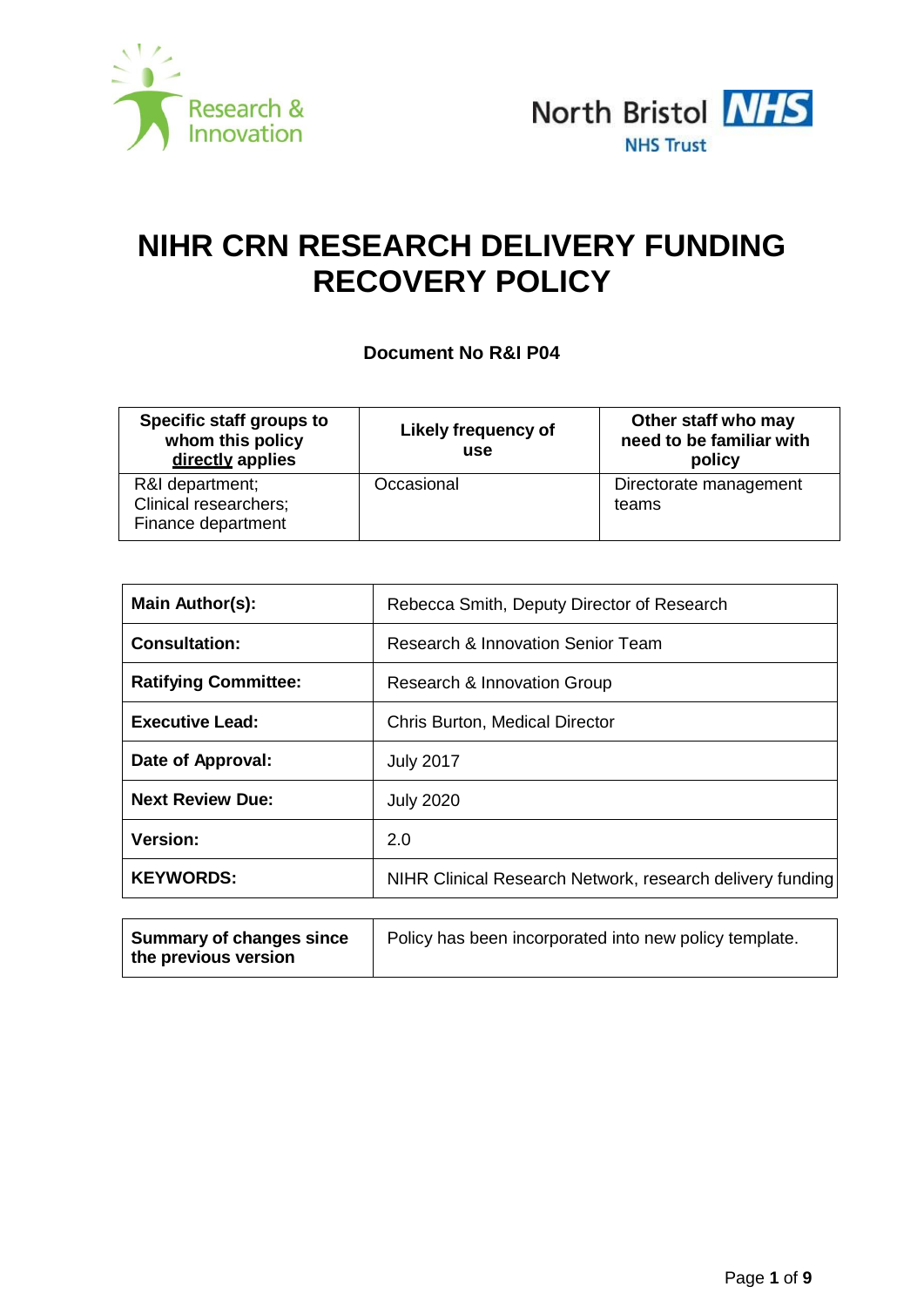



# **NIHR CRN RESEARCH DELIVERY FUNDING RECOVERY POLICY**

**Document No R&I P04**

| Specific staff groups to<br>whom this policy<br>directly applies      | <b>Likely frequency of</b><br>use | Other staff who may<br>need to be familiar with<br>policy |  |
|-----------------------------------------------------------------------|-----------------------------------|-----------------------------------------------------------|--|
| R&I department;<br><b>Clinical researchers;</b><br>Finance department | Occasional                        | Directorate management<br>teams                           |  |

| Main Author(s):             | Rebecca Smith, Deputy Director of Research                |  |  |
|-----------------------------|-----------------------------------------------------------|--|--|
| <b>Consultation:</b>        | Research & Innovation Senior Team                         |  |  |
| <b>Ratifying Committee:</b> | Research & Innovation Group                               |  |  |
| <b>Executive Lead:</b>      | <b>Chris Burton, Medical Director</b>                     |  |  |
| Date of Approval:           | <b>July 2017</b>                                          |  |  |
| <b>Next Review Due:</b>     | <b>July 2020</b>                                          |  |  |
| <b>Version:</b>             | 2.0                                                       |  |  |
| <b>KEYWORDS:</b>            | NIHR Clinical Research Network, research delivery funding |  |  |
|                             |                                                           |  |  |

| <b>Summary of changes since</b> | Policy has been incorporated into new policy template. |
|---------------------------------|--------------------------------------------------------|
| the previous version            |                                                        |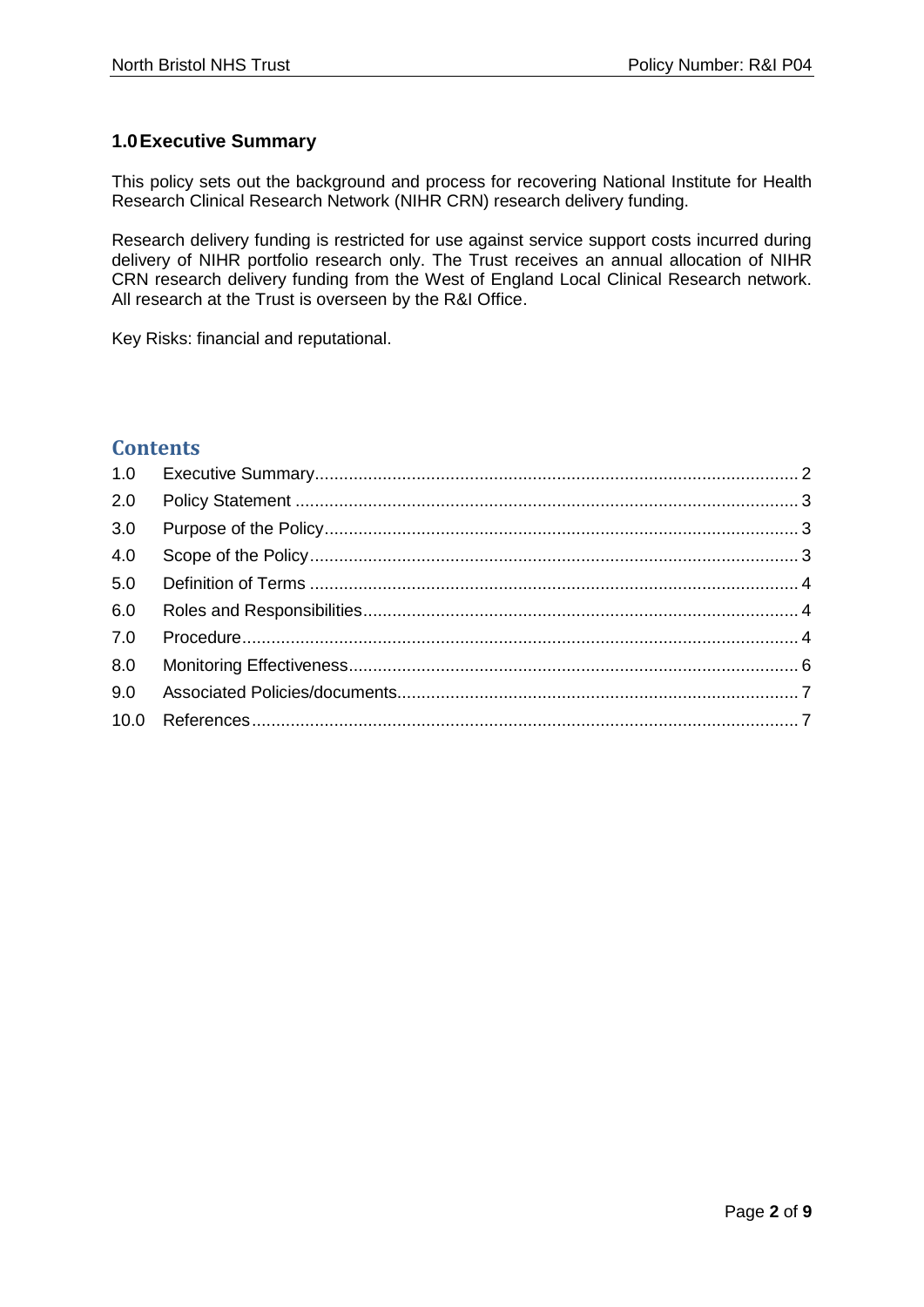# <span id="page-1-0"></span>**1.0Executive Summary**

This policy sets out the background and process for recovering National Institute for Health Research Clinical Research Network (NIHR CRN) research delivery funding.

Research delivery funding is restricted for use against service support costs incurred during delivery of NIHR portfolio research only. The Trust receives an annual allocation of NIHR CRN research delivery funding from the West of England Local Clinical Research network. All research at the Trust is overseen by the R&I Office.

Key Risks: financial and reputational.

# **Contents**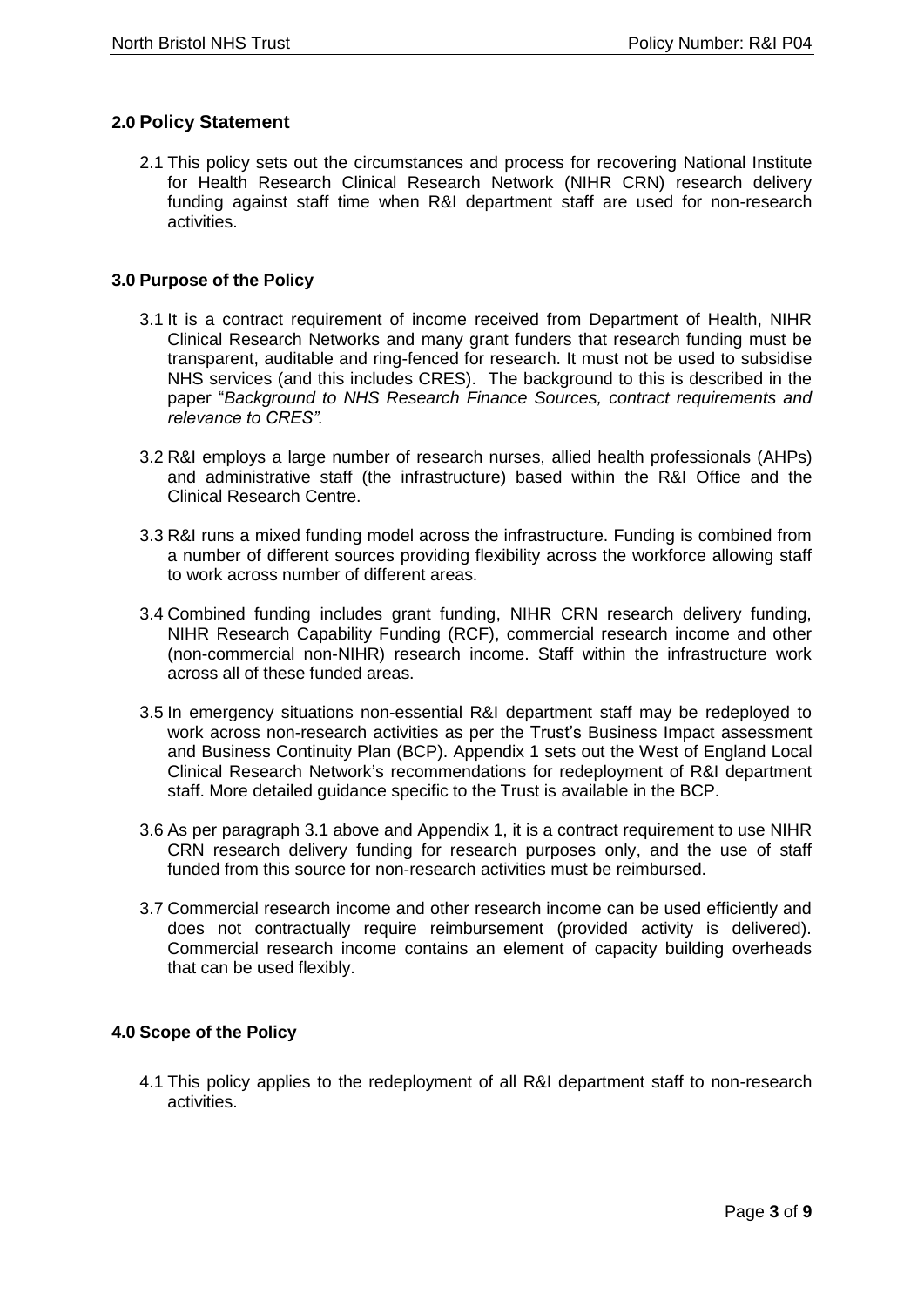# <span id="page-2-0"></span>**2.0 Policy Statement**

2.1 This policy sets out the circumstances and process for recovering National Institute for Health Research Clinical Research Network (NIHR CRN) research delivery funding against staff time when R&I department staff are used for non-research activities.

## <span id="page-2-1"></span>**3.0 Purpose of the Policy**

- 3.1 It is a contract requirement of income received from Department of Health, NIHR Clinical Research Networks and many grant funders that research funding must be transparent, auditable and ring-fenced for research. It must not be used to subsidise NHS services (and this includes CRES). The background to this is described in the paper "*Background to NHS Research Finance Sources, contract requirements and relevance to CRES".*
- 3.2 R&I employs a large number of research nurses, allied health professionals (AHPs) and administrative staff (the infrastructure) based within the R&I Office and the Clinical Research Centre.
- 3.3 R&I runs a mixed funding model across the infrastructure. Funding is combined from a number of different sources providing flexibility across the workforce allowing staff to work across number of different areas.
- 3.4 Combined funding includes grant funding, NIHR CRN research delivery funding, NIHR Research Capability Funding (RCF), commercial research income and other (non-commercial non-NIHR) research income. Staff within the infrastructure work across all of these funded areas.
- 3.5 In emergency situations non-essential R&I department staff may be redeployed to work across non-research activities as per the Trust's Business Impact assessment and Business Continuity Plan (BCP). Appendix 1 sets out the West of England Local Clinical Research Network's recommendations for redeployment of R&I department staff. More detailed guidance specific to the Trust is available in the BCP.
- 3.6 As per paragraph 3.1 above and Appendix 1, it is a contract requirement to use NIHR CRN research delivery funding for research purposes only, and the use of staff funded from this source for non-research activities must be reimbursed.
- 3.7 Commercial research income and other research income can be used efficiently and does not contractually require reimbursement (provided activity is delivered). Commercial research income contains an element of capacity building overheads that can be used flexibly.

## <span id="page-2-2"></span>**4.0 Scope of the Policy**

4.1 This policy applies to the redeployment of all R&I department staff to non-research activities.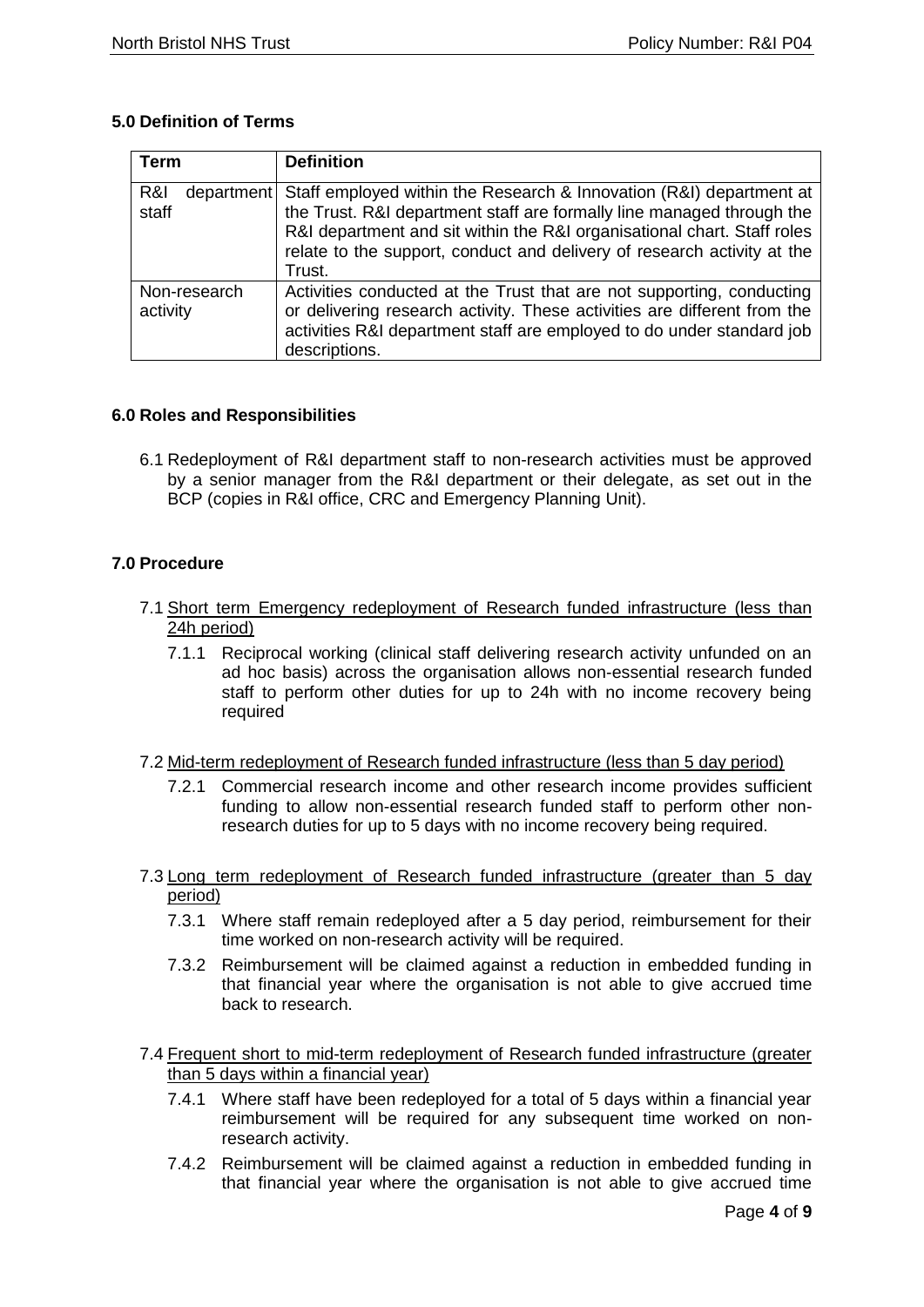# <span id="page-3-0"></span>**5.0 Definition of Terms**

| Term                       | <b>Definition</b>                                                                                                                                                                                                                                                                                            |
|----------------------------|--------------------------------------------------------------------------------------------------------------------------------------------------------------------------------------------------------------------------------------------------------------------------------------------------------------|
| R&I<br>department<br>staff | Staff employed within the Research & Innovation (R&I) department at<br>the Trust. R&I department staff are formally line managed through the<br>R&I department and sit within the R&I organisational chart. Staff roles<br>relate to the support, conduct and delivery of research activity at the<br>Trust. |
| Non-research<br>activity   | Activities conducted at the Trust that are not supporting, conducting<br>or delivering research activity. These activities are different from the<br>activities R&I department staff are employed to do under standard job<br>descriptions.                                                                  |

# <span id="page-3-1"></span>**6.0 Roles and Responsibilities**

6.1 Redeployment of R&I department staff to non-research activities must be approved by a senior manager from the R&I department or their delegate, as set out in the BCP (copies in R&I office, CRC and Emergency Planning Unit).

# <span id="page-3-2"></span>**7.0 Procedure**

- 7.1 Short term Emergency redeployment of Research funded infrastructure (less than 24h period)
	- 7.1.1 Reciprocal working (clinical staff delivering research activity unfunded on an ad hoc basis) across the organisation allows non-essential research funded staff to perform other duties for up to 24h with no income recovery being required
- 7.2 Mid-term redeployment of Research funded infrastructure (less than 5 day period)
	- 7.2.1 Commercial research income and other research income provides sufficient funding to allow non-essential research funded staff to perform other nonresearch duties for up to 5 days with no income recovery being required.
- 7.3 Long term redeployment of Research funded infrastructure (greater than 5 day period)
	- 7.3.1 Where staff remain redeployed after a 5 day period, reimbursement for their time worked on non-research activity will be required.
	- 7.3.2 Reimbursement will be claimed against a reduction in embedded funding in that financial year where the organisation is not able to give accrued time back to research.
- 7.4 Frequent short to mid-term redeployment of Research funded infrastructure (greater than 5 days within a financial year)
	- 7.4.1 Where staff have been redeployed for a total of 5 days within a financial year reimbursement will be required for any subsequent time worked on nonresearch activity.
	- 7.4.2 Reimbursement will be claimed against a reduction in embedded funding in that financial year where the organisation is not able to give accrued time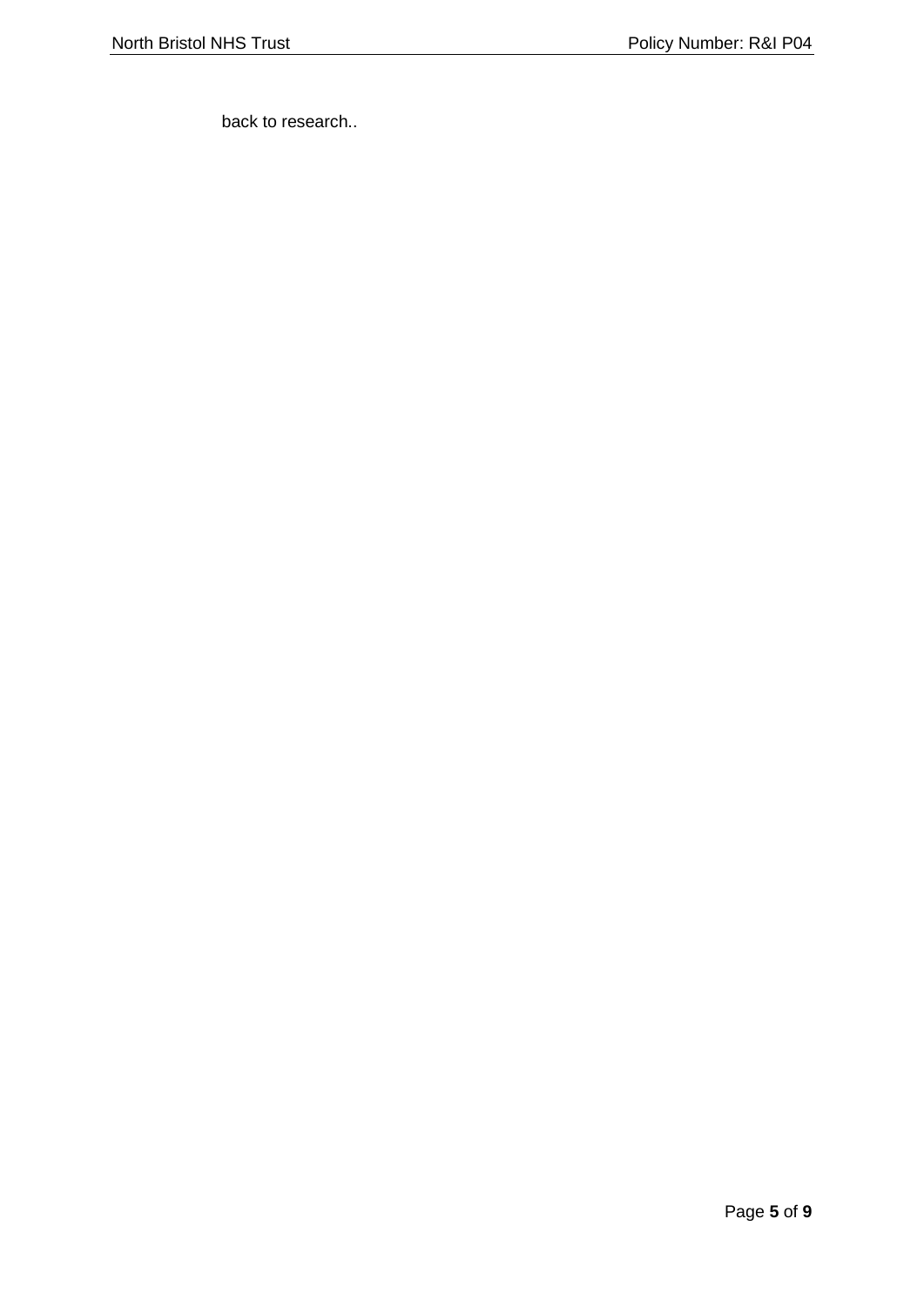back to research..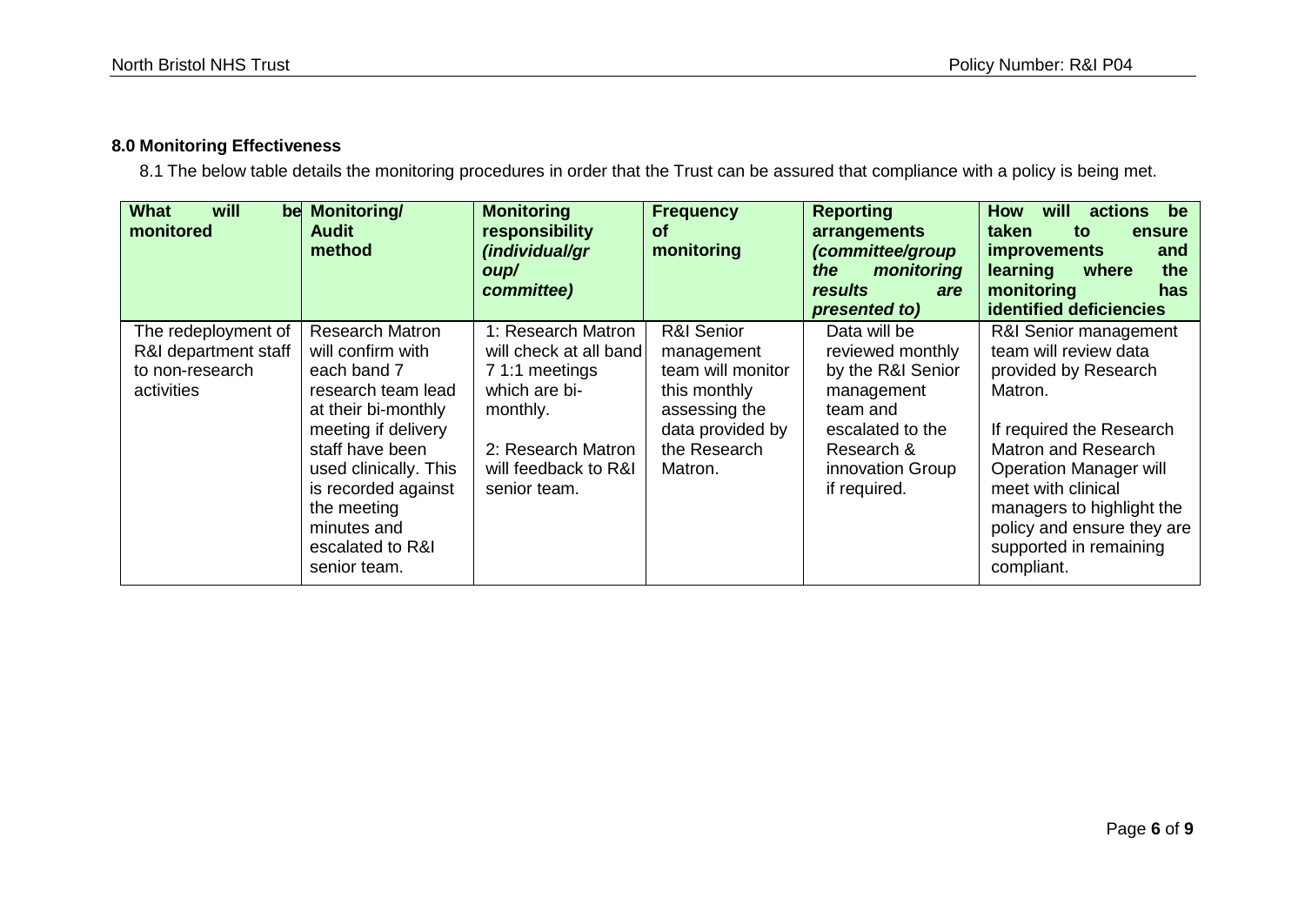# **8.0 Monitoring Effectiveness**

8.1 The below table details the monitoring procedures in order that the Trust can be assured that compliance with a policy is being met.

<span id="page-5-0"></span>

| <b>What</b><br>will<br>monitored                                             | be Monitoring/<br><b>Audit</b><br>method                                                                                                                                                                                                                            | <b>Monitoring</b><br>responsibility<br>(individual/gr<br>oup/<br>committee)                                                                               | <b>Frequency</b><br><b>of</b><br>monitoring                                                                                   | <b>Reporting</b><br>arrangements<br>(committee/group<br>monitoring<br>the<br>results<br>are<br>presented to)                                          | will<br>actions<br><b>How</b><br>be<br>taken<br>to<br>ensure<br><i>improvements</i><br>and<br>learning<br>where<br>the<br>monitoring<br>has<br>identified deficiencies                                                                                                                                |
|------------------------------------------------------------------------------|---------------------------------------------------------------------------------------------------------------------------------------------------------------------------------------------------------------------------------------------------------------------|-----------------------------------------------------------------------------------------------------------------------------------------------------------|-------------------------------------------------------------------------------------------------------------------------------|-------------------------------------------------------------------------------------------------------------------------------------------------------|-------------------------------------------------------------------------------------------------------------------------------------------------------------------------------------------------------------------------------------------------------------------------------------------------------|
| The redeployment of<br>R&I department staff<br>to non-research<br>activities | <b>Research Matron</b><br>will confirm with<br>each band 7<br>research team lead<br>at their bi-monthly<br>meeting if delivery<br>staff have been<br>used clinically. This<br>is recorded against<br>the meeting<br>minutes and<br>escalated to R&I<br>senior team. | 1: Research Matron<br>will check at all band<br>7 1:1 meetings<br>which are bi-<br>monthly.<br>2: Research Matron<br>will feedback to R&I<br>senior team. | R&I Senior<br>management<br>team will monitor<br>this monthly<br>assessing the<br>data provided by<br>the Research<br>Matron. | Data will be<br>reviewed monthly<br>by the R&I Senior<br>management<br>team and<br>escalated to the<br>Research &<br>innovation Group<br>if required. | R&I Senior management<br>team will review data<br>provided by Research<br>Matron.<br>If required the Research<br><b>Matron and Research</b><br><b>Operation Manager will</b><br>meet with clinical<br>managers to highlight the<br>policy and ensure they are<br>supported in remaining<br>compliant. |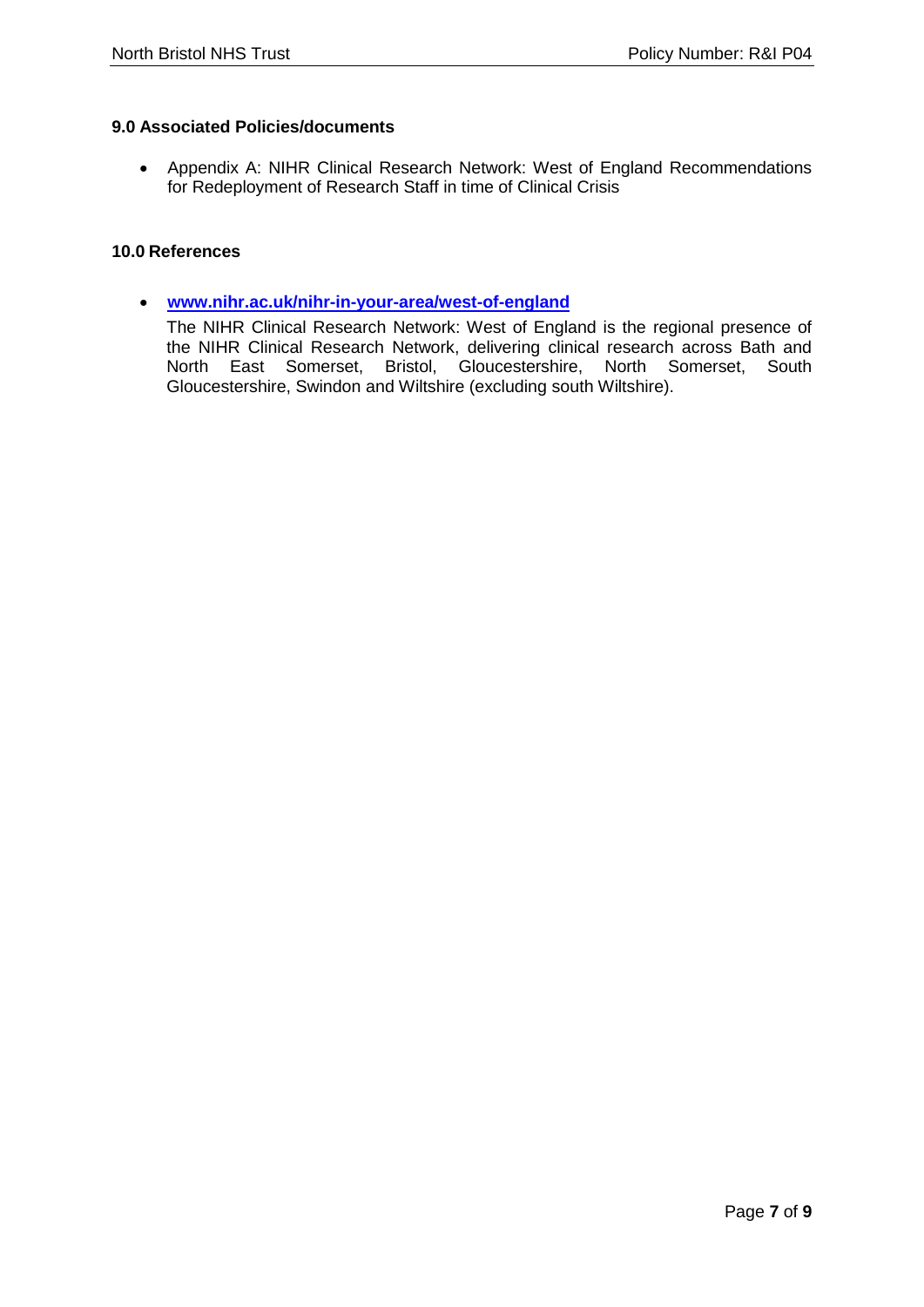## <span id="page-6-0"></span>**9.0 Associated Policies/documents**

 Appendix A: NIHR Clinical Research Network: West of England Recommendations for Redeployment of Research Staff in time of Clinical Crisis

#### <span id="page-6-1"></span>**10.0 References**

 **[www.nihr.ac.uk/nihr-in-your-area/west-of-england](http://www.nihr.ac.uk/nihr-in-your-area/west-of-england)**

The NIHR Clinical Research Network: West of England is the regional presence of the NIHR Clinical Research Network, delivering clinical research across Bath and North East Somerset, Bristol, Gloucestershire, North Somerset, South Gloucestershire, Swindon and Wiltshire (excluding south Wiltshire).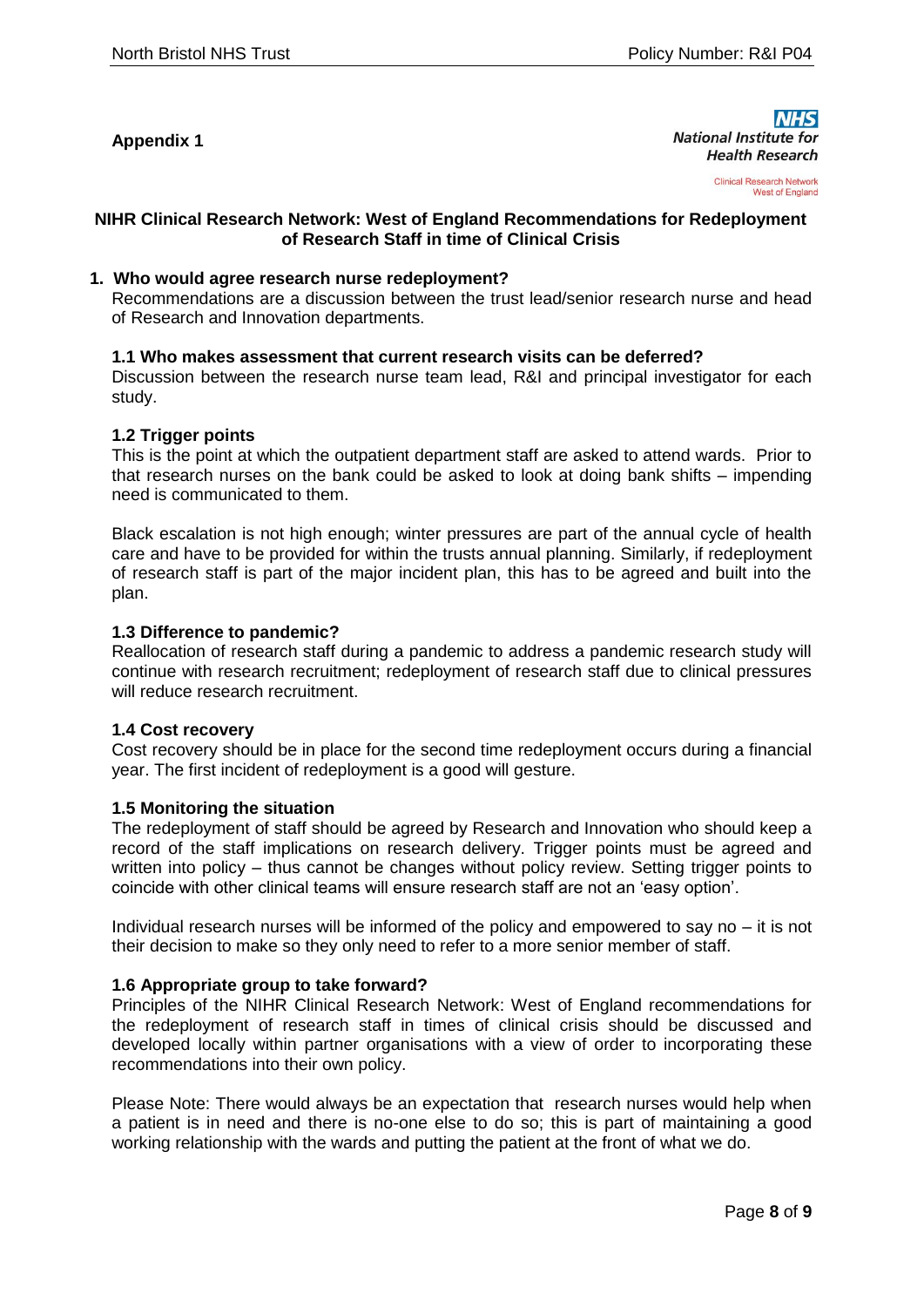## **Appendix 1**

**National Institute for Health Research** 

> **Clinical Research Network West of England**

#### **NIHR Clinical Research Network: West of England Recommendations for Redeployment of Research Staff in time of Clinical Crisis**

#### **1. Who would agree research nurse redeployment?**

Recommendations are a discussion between the trust lead/senior research nurse and head of Research and Innovation departments.

#### **1.1 Who makes assessment that current research visits can be deferred?**

Discussion between the research nurse team lead, R&I and principal investigator for each study.

#### **1.2 Trigger points**

This is the point at which the outpatient department staff are asked to attend wards. Prior to that research nurses on the bank could be asked to look at doing bank shifts – impending need is communicated to them.

Black escalation is not high enough; winter pressures are part of the annual cycle of health care and have to be provided for within the trusts annual planning. Similarly, if redeployment of research staff is part of the major incident plan, this has to be agreed and built into the plan.

#### **1.3 Difference to pandemic?**

Reallocation of research staff during a pandemic to address a pandemic research study will continue with research recruitment; redeployment of research staff due to clinical pressures will reduce research recruitment.

#### **1.4 Cost recovery**

Cost recovery should be in place for the second time redeployment occurs during a financial year. The first incident of redeployment is a good will gesture.

#### **1.5 Monitoring the situation**

The redeployment of staff should be agreed by Research and Innovation who should keep a record of the staff implications on research delivery. Trigger points must be agreed and written into policy – thus cannot be changes without policy review. Setting trigger points to coincide with other clinical teams will ensure research staff are not an 'easy option'.

Individual research nurses will be informed of the policy and empowered to say no – it is not their decision to make so they only need to refer to a more senior member of staff.

#### **1.6 Appropriate group to take forward?**

Principles of the NIHR Clinical Research Network: West of England recommendations for the redeployment of research staff in times of clinical crisis should be discussed and developed locally within partner organisations with a view of order to incorporating these recommendations into their own policy.

Please Note: There would always be an expectation that research nurses would help when a patient is in need and there is no-one else to do so; this is part of maintaining a good working relationship with the wards and putting the patient at the front of what we do.